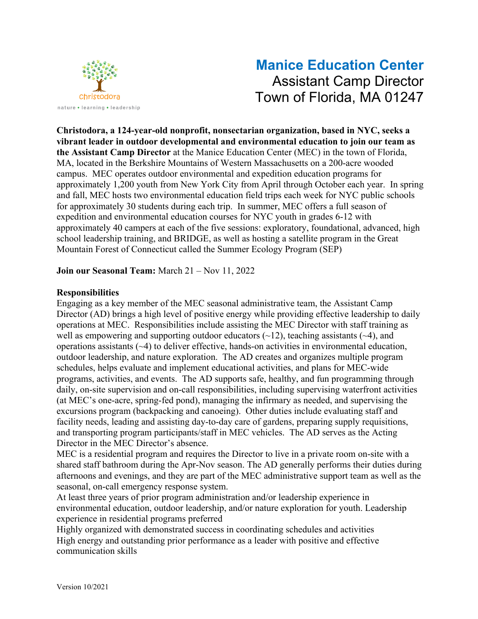

# **Manice Education Center** Assistant Camp Director Town of Florida, MA 01247

**Christodora, a 124-year-old nonprofit, nonsectarian organization, based in NYC, seeks a vibrant leader in outdoor developmental and environmental education to join our team as the Assistant Camp Director** at the Manice Education Center (MEC) in the town of Florida, MA, located in the Berkshire Mountains of Western Massachusetts on a 200-acre wooded campus. MEC operates outdoor environmental and expedition education programs for approximately 1,200 youth from New York City from April through October each year. In spring and fall, MEC hosts two environmental education field trips each week for NYC public schools for approximately 30 students during each trip. In summer, MEC offers a full season of expedition and environmental education courses for NYC youth in grades 6-12 with approximately 40 campers at each of the five sessions: exploratory, foundational, advanced, high school leadership training, and BRIDGE, as well as hosting a satellite program in the Great Mountain Forest of Connecticut called the Summer Ecology Program (SEP)

**Join our Seasonal Team:** March 21 – Nov 11, 2022

### **Responsibilities**

Engaging as a key member of the MEC seasonal administrative team, the Assistant Camp Director (AD) brings a high level of positive energy while providing effective leadership to daily operations at MEC. Responsibilities include assisting the MEC Director with staff training as well as empowering and supporting outdoor educators  $(\sim 12)$ , teaching assistants  $(\sim 4)$ , and operations assistants (~4) to deliver effective, hands-on activities in environmental education, outdoor leadership, and nature exploration. The AD creates and organizes multiple program schedules, helps evaluate and implement educational activities, and plans for MEC-wide programs, activities, and events. The AD supports safe, healthy, and fun programming through daily, on-site supervision and on-call responsibilities, including supervising waterfront activities (at MEC's one-acre, spring-fed pond), managing the infirmary as needed, and supervising the excursions program (backpacking and canoeing). Other duties include evaluating staff and facility needs, leading and assisting day-to-day care of gardens, preparing supply requisitions, and transporting program participants/staff in MEC vehicles. The AD serves as the Acting Director in the MEC Director's absence.

MEC is a residential program and requires the Director to live in a private room on-site with a shared staff bathroom during the Apr-Nov season. The AD generally performs their duties during afternoons and evenings, and they are part of the MEC administrative support team as well as the seasonal, on-call emergency response system.

At least three years of prior program administration and/or leadership experience in environmental education, outdoor leadership, and/or nature exploration for youth. Leadership experience in residential programs preferred

Highly organized with demonstrated success in coordinating schedules and activities High energy and outstanding prior performance as a leader with positive and effective communication skills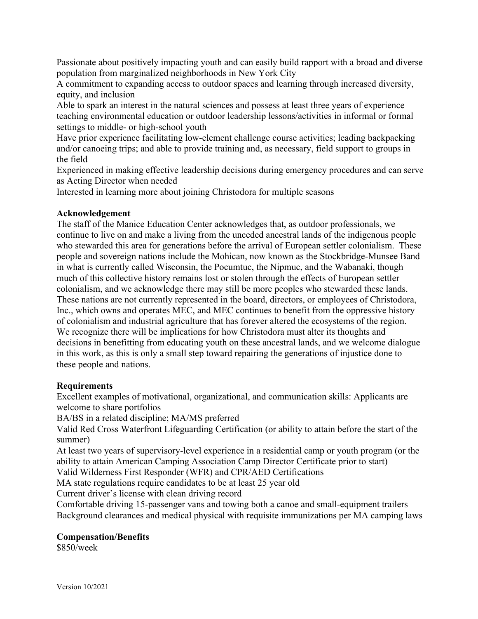Passionate about positively impacting youth and can easily build rapport with a broad and diverse population from marginalized neighborhoods in New York City

A commitment to expanding access to outdoor spaces and learning through increased diversity, equity, and inclusion

Able to spark an interest in the natural sciences and possess at least three years of experience teaching environmental education or outdoor leadership lessons/activities in informal or formal settings to middle- or high-school youth

Have prior experience facilitating low-element challenge course activities; leading backpacking and/or canoeing trips; and able to provide training and, as necessary, field support to groups in the field

Experienced in making effective leadership decisions during emergency procedures and can serve as Acting Director when needed

Interested in learning more about joining Christodora for multiple seasons

#### **Acknowledgement**

The staff of the Manice Education Center acknowledges that, as outdoor professionals, we continue to live on and make a living from the unceded ancestral lands of the indigenous people who stewarded this area for generations before the arrival of European settler colonialism. These people and sovereign nations include the Mohican, now known as the Stockbridge-Munsee Band in what is currently called Wisconsin, the Pocumtuc, the Nipmuc, and the Wabanaki, though much of this collective history remains lost or stolen through the effects of European settler colonialism, and we acknowledge there may still be more peoples who stewarded these lands. These nations are not currently represented in the board, directors, or employees of Christodora, Inc., which owns and operates MEC, and MEC continues to benefit from the oppressive history of colonialism and industrial agriculture that has forever altered the ecosystems of the region. We recognize there will be implications for how Christodora must alter its thoughts and decisions in benefitting from educating youth on these ancestral lands, and we welcome dialogue in this work, as this is only a small step toward repairing the generations of injustice done to these people and nations.

#### **Requirements**

Excellent examples of motivational, organizational, and communication skills: Applicants are welcome to share portfolios

BA/BS in a related discipline; MA/MS preferred

Valid Red Cross Waterfront Lifeguarding Certification (or ability to attain before the start of the summer)

At least two years of supervisory-level experience in a residential camp or youth program (or the ability to attain American Camping Association Camp Director Certificate prior to start)

Valid Wilderness First Responder (WFR) and CPR/AED Certifications

MA state regulations require candidates to be at least 25 year old

Current driver's license with clean driving record

Comfortable driving 15-passenger vans and towing both a canoe and small-equipment trailers Background clearances and medical physical with requisite immunizations per MA camping laws

#### **Compensation/Benefits**

\$850/week